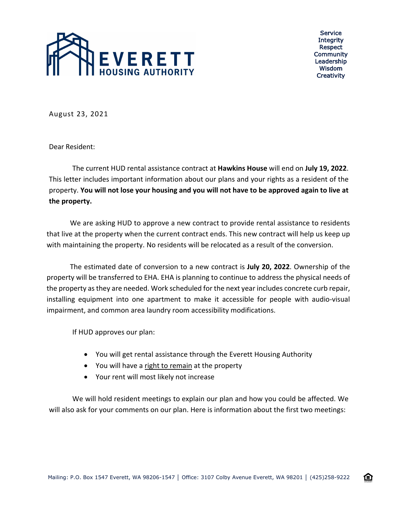

Service **Integrity** Respect Community Leadership Wisdom **Creativity** 

企

August 23, 2021

Dear Resident:

The current HUD rental assistance contract at **Hawkins House** will end on **July 19, 2022**. This letter includes important information about our plans and your rights as a resident of the property. **You will not lose your housing and you will not have to be approved again to live at the property.**

We are asking HUD to approve a new contract to provide rental assistance to residents that live at the property when the current contract ends. This new contract will help us keep up with maintaining the property. No residents will be relocated as a result of the conversion.

The estimated date of conversion to a new contract is **July 20, 2022**. Ownership of the property will be transferred to EHA. EHA is planning to continue to address the physical needs of the property as they are needed. Work scheduled for the next year includes concrete curb repair, installing equipment into one apartment to make it accessible for people with audio-visual impairment, and common area laundry room accessibility modifications.

If HUD approves our plan:

- You will get rental assistance through the Everett Housing Authority
- You will have a right to remain at the property
- Your rent will most likely not increase

We will hold resident meetings to explain our plan and how you could be affected. We will also ask for your comments on our plan. Here is information about the first two meetings: